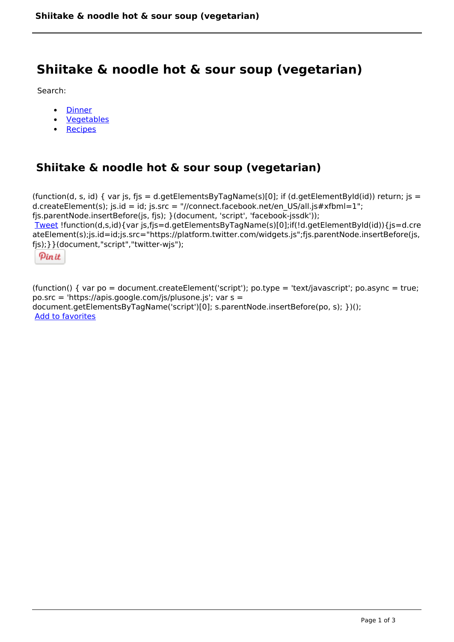# **Shiitake & noodle hot & sour soup (vegetarian)**

Search:

- **[Dinner](https://www.naturalhealthmag.com.au/nourish/dinner-ideas)**  $\bullet$
- [Vegetables](https://www.naturalhealthmag.com.au/nourish/veg)  $\bullet$
- [Recipes](https://www.naturalhealthmag.com.au/nourish/recipes)

# **Shiitake & noodle hot & sour soup (vegetarian)**

```
(function(d, s, id) { var js, fjs = d.getElementsByTagName(s)[0]; if (d.getElementById(id)) return; is =
d.createElement(s); js.id = id; js.src = "//connect.facebook.net/en_US/all.js#xfbml=1";
fjs.parentNode.insertBefore(js, fjs); }(document, 'script', 'facebook-jssdk')); 
Tweet !function(d,s,id){var js,fjs=d.getElementsByTagName(s)[0];if(!d.getElementById(id)){js=d.cre
ateElement(s);js.id=id;js.src="https://platform.twitter.com/widgets.js";fjs.parentNode.insertBefore(js,
fjs);}}(document,"script","twitter-wjs"); 
 Pin it
```
(function() { var po = document.createElement('script'); po.type = 'text/javascript'; po.async = true; po.src = 'https://apis.google.com/js/plusone.js'; var s = document.getElementsByTagName('script')[0]; s.parentNode.insertBefore(po, s); })(); Add to favorites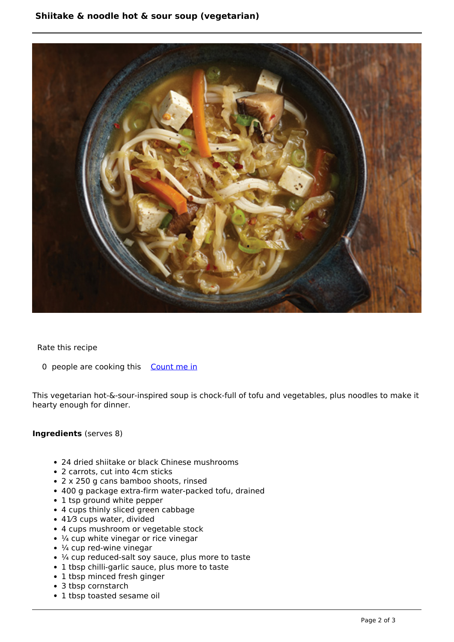

Rate this recipe

0 people are cooking this [Count me in](https://www.naturalhealthmag.com.au/flag/flag/favorites/835?destination=printpdf%2F835&token=129528d471ade5b45ca95c1904c24efd)

This vegetarian hot-&-sour-inspired soup is chock-full of tofu and vegetables, plus noodles to make it hearty enough for dinner.

## **Ingredients** (serves 8)

- 24 dried shiitake or black Chinese mushrooms
- 2 carrots, cut into 4cm sticks
- 2 x 250 g cans bamboo shoots, rinsed
- 400 g package extra-firm water-packed tofu, drained
- 1 tsp ground white pepper
- 4 cups thinly sliced green cabbage
- 41⁄3 cups water, divided
- 4 cups mushroom or vegetable stock
- $\cdot$   $\frac{1}{4}$  cup white vinegar or rice vinegar
- $\cdot$   $\frac{1}{4}$  cup red-wine vinegar
- $\cdot$  ¼ cup reduced-salt soy sauce, plus more to taste
- 1 tbsp chilli-garlic sauce, plus more to taste
- 1 tbsp minced fresh ginger
- 3 tbsp cornstarch
- 1 tbsp toasted sesame oil